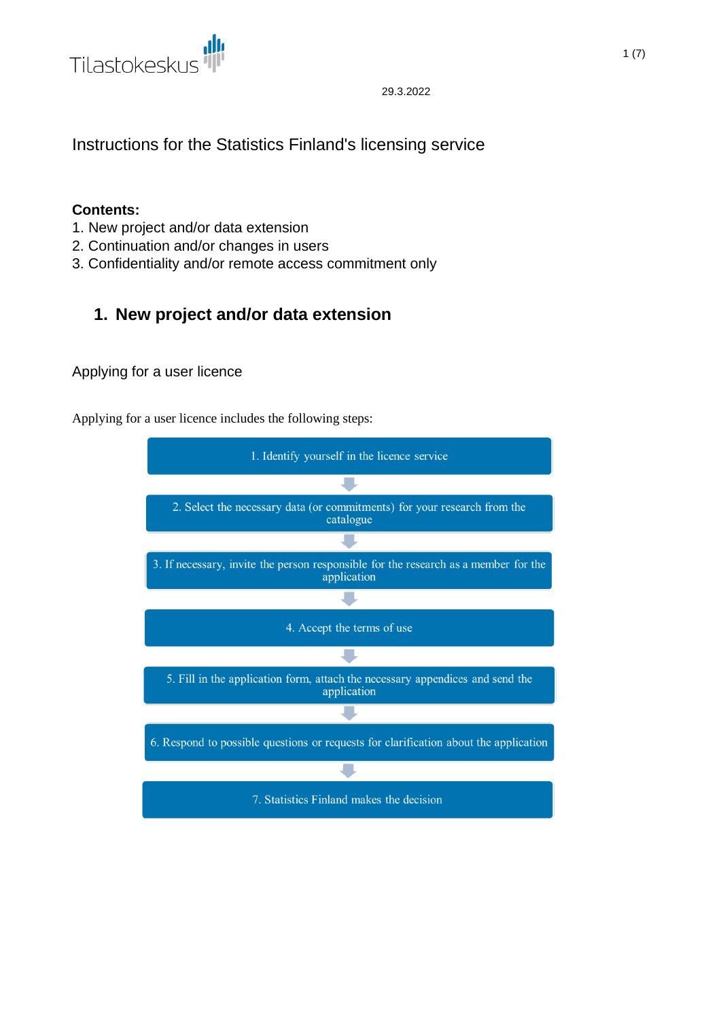

Instructions for the Statistics Finland's licensing service

# **Contents:**

- 1. New project and/or data extension
- 2. Continuation and/or changes in users
- 3. Confidentiality and/or remote access commitment only

# **1. New project and/or data extension**

# Applying for a user licence

Applying for a user licence includes the following steps:

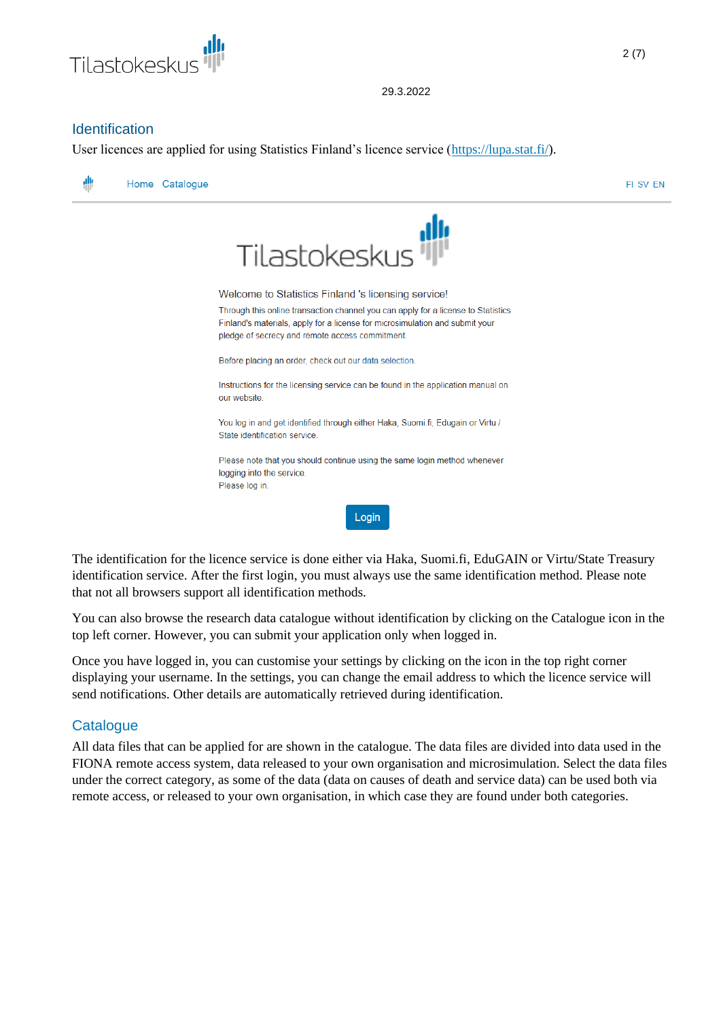

# **Identification**

User licences are applied for using Statistics Finland's licence service [\(https://lupa.stat.fi/\)](https://lupa.stat.fi/).



The identification for the licence service is done either via Haka, Suomi.fi, EduGAIN or Virtu/State Treasury identification service. After the first login, you must always use the same identification method. Please note that not all browsers support all identification methods.

You can also browse the research data catalogue without identification by clicking on the Catalogue icon in the top left corner. However, you can submit your application only when logged in.

Once you have logged in, you can customise your settings by clicking on the icon in the top right corner displaying your username. In the settings, you can change the email address to which the licence service will send notifications. Other details are automatically retrieved during identification.

# **Catalogue**

All data files that can be applied for are shown in the catalogue. The data files are divided into data used in the FIONA remote access system, data released to your own organisation and microsimulation. Select the data files under the correct category, as some of the data (data on causes of death and service data) can be used both via remote access, or released to your own organisation, in which case they are found under both categories.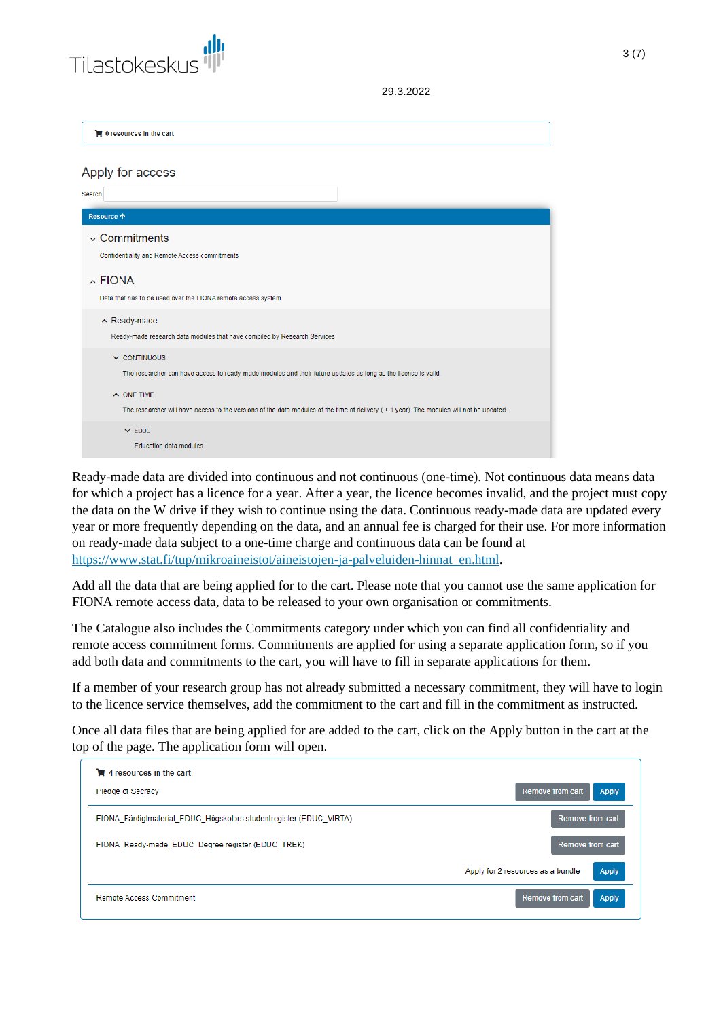

 $\mathbf{F}$  0 resources in the cart

#### Apply for access

| Search                                                                                                                                                      |
|-------------------------------------------------------------------------------------------------------------------------------------------------------------|
| Resource <b>个</b>                                                                                                                                           |
| $\sim$ Commitments<br>Confidentiality and Remote Access commitments                                                                                         |
| $\lambda$ FIONA<br>Data that has to be used over the FIONA remote access system                                                                             |
| $\land$ Ready-made<br>Ready-made research data modules that have compiled by Research Services                                                              |
| $\vee$ CONTINUOUS<br>The researcher can have access to ready-made modules and their future updates as long as the license is valid.                         |
| $\land$ ONE-TIME<br>The researcher will have access to the versions of the data modules of the time of delivery (+1 year). The modules will not be updated. |
| $\times$ EDUC<br><b>Education data modules</b>                                                                                                              |

Ready-made data are divided into continuous and not continuous (one-time). Not continuous data means data for which a project has a licence for a year. After a year, the licence becomes invalid, and the project must copy the data on the W drive if they wish to continue using the data. Continuous ready-made data are updated every year or more frequently depending on the data, and an annual fee is charged for their use. For more information on ready-made data subject to a one-time charge and continuous data can be found at [https://www.stat.fi/tup/mikroaineistot/aineistojen-ja-palveluiden-hinnat\\_en.html.](https://www.stat.fi/tup/mikroaineistot/aineistojen-ja-palveluiden-hinnat_en.html)

Add all the data that are being applied for to the cart. Please note that you cannot use the same application for FIONA remote access data, data to be released to your own organisation or commitments.

The Catalogue also includes the Commitments category under which you can find all confidentiality and remote access commitment forms. Commitments are applied for using a separate application form, so if you add both data and commitments to the cart, you will have to fill in separate applications for them.

If a member of your research group has not already submitted a necessary commitment, they will have to login to the licence service themselves, add the commitment to the cart and fill in the commitment as instructed.

Once all data files that are being applied for are added to the cart, click on the Apply button in the cart at the top of the page. The application form will open.

| $\mathbf{F}$ 4 resources in the cart<br><b>Pledge of Secracy</b>   | <b>Remove from cart</b><br><b>Apply</b>           |
|--------------------------------------------------------------------|---------------------------------------------------|
| FIONA_Färdigtmaterial_EDUC_Högskolors studentregister (EDUC_VIRTA) | <b>Remove from cart</b>                           |
| FIONA_Ready-made_EDUC_Degree register (EDUC_TREK)                  | Remove from cart                                  |
|                                                                    | <b>Apply</b><br>Apply for 2 resources as a bundle |
| Remote Access Commitment                                           | Apply<br><b>Remove from cart</b>                  |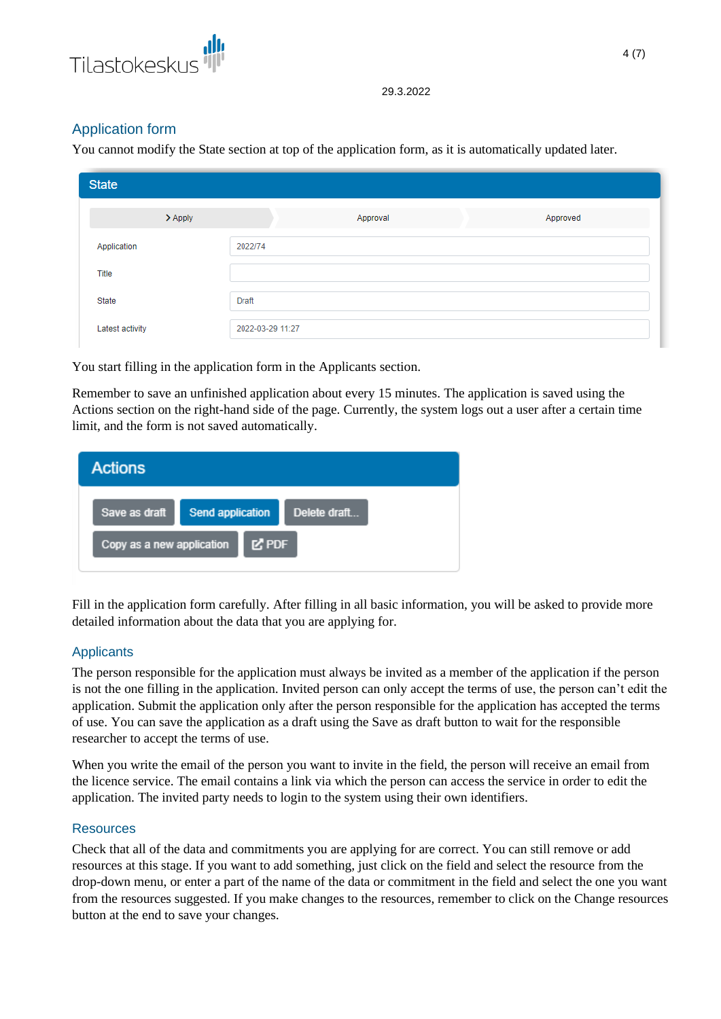

# Application form

You cannot modify the State section at top of the application form, as it is automatically updated later.

| <b>State</b>                |                  |          |          |
|-----------------------------|------------------|----------|----------|
| $\blacktriangleright$ Apply |                  | Approval | Approved |
| Application                 | 2022/74          |          |          |
| Title                       |                  |          |          |
| State                       | <b>Draft</b>     |          |          |
| Latest activity             | 2022-03-29 11:27 |          |          |

You start filling in the application form in the Applicants section.

Remember to save an unfinished application about every 15 minutes. The application is saved using the Actions section on the right-hand side of the page. Currently, the system logs out a user after a certain time limit, and the form is not saved automatically.

| <b>Actions</b>            |                         |              |
|---------------------------|-------------------------|--------------|
| Save as draft             | <b>Send application</b> | Delete draft |
| Copy as a new application | M PDF                   |              |

Fill in the application form carefully. After filling in all basic information, you will be asked to provide more detailed information about the data that you are applying for.

# **Applicants**

The person responsible for the application must always be invited as a member of the application if the person is not the one filling in the application. Invited person can only accept the terms of use, the person can't edit the application. Submit the application only after the person responsible for the application has accepted the terms of use. You can save the application as a draft using the Save as draft button to wait for the responsible researcher to accept the terms of use.

When you write the email of the person you want to invite in the field, the person will receive an email from the licence service. The email contains a link via which the person can access the service in order to edit the application. The invited party needs to login to the system using their own identifiers.

# Resources

Check that all of the data and commitments you are applying for are correct. You can still remove or add resources at this stage. If you want to add something, just click on the field and select the resource from the drop-down menu, or enter a part of the name of the data or commitment in the field and select the one you want from the resources suggested. If you make changes to the resources, remember to click on the Change resources button at the end to save your changes.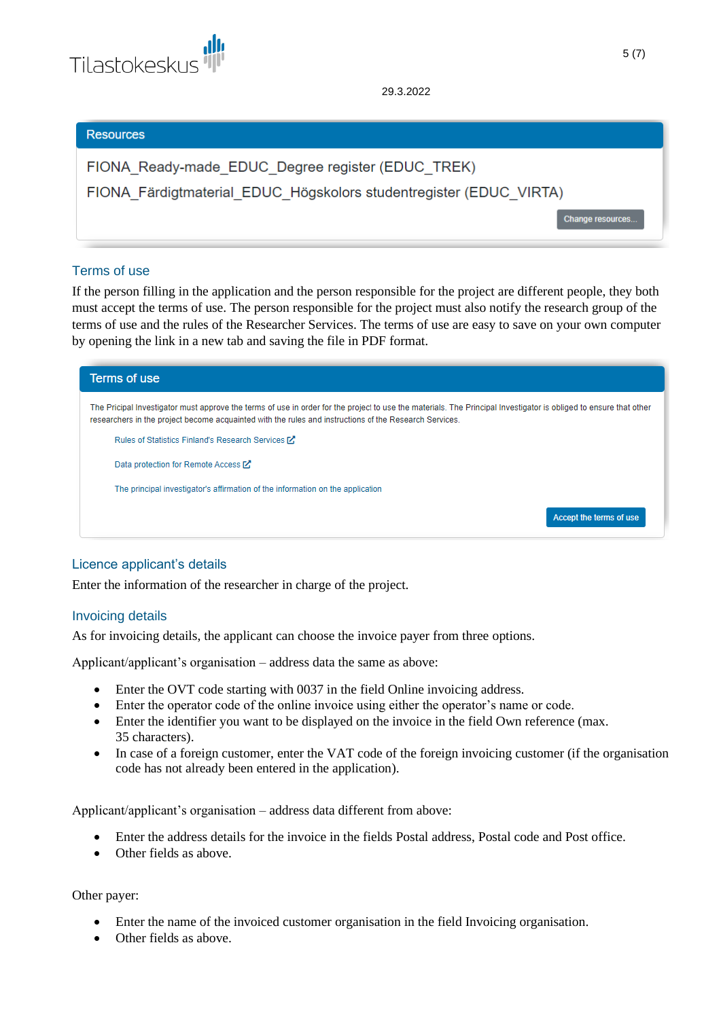

#### **Resources**

| FIONA Ready-made EDUC Degree register (EDUC TREK)                  |
|--------------------------------------------------------------------|
| FIONA Färdigtmaterial EDUC Högskolors studentregister (EDUC VIRTA) |
| Change resources                                                   |

## Terms of use

If the person filling in the application and the person responsible for the project are different people, they both must accept the terms of use. The person responsible for the project must also notify the research group of the terms of use and the rules of the Researcher Services. The terms of use are easy to save on your own computer by opening the link in a new tab and saving the file in PDF format.



# Licence applicant's details

Enter the information of the researcher in charge of the project.

### Invoicing details

As for invoicing details, the applicant can choose the invoice payer from three options.

Applicant/applicant's organisation – address data the same as above:

- Enter the OVT code starting with 0037 in the field Online invoicing address.
- Enter the operator code of the online invoice using either the operator's name or code.
- Enter the identifier you want to be displayed on the invoice in the field Own reference (max. 35 characters).
- In case of a foreign customer, enter the VAT code of the foreign invoicing customer (if the organisation code has not already been entered in the application).

Applicant/applicant's organisation – address data different from above:

- Enter the address details for the invoice in the fields Postal address, Postal code and Post office.
- Other fields as above.

## Other payer:

- Enter the name of the invoiced customer organisation in the field Invoicing organisation.
- Other fields as above.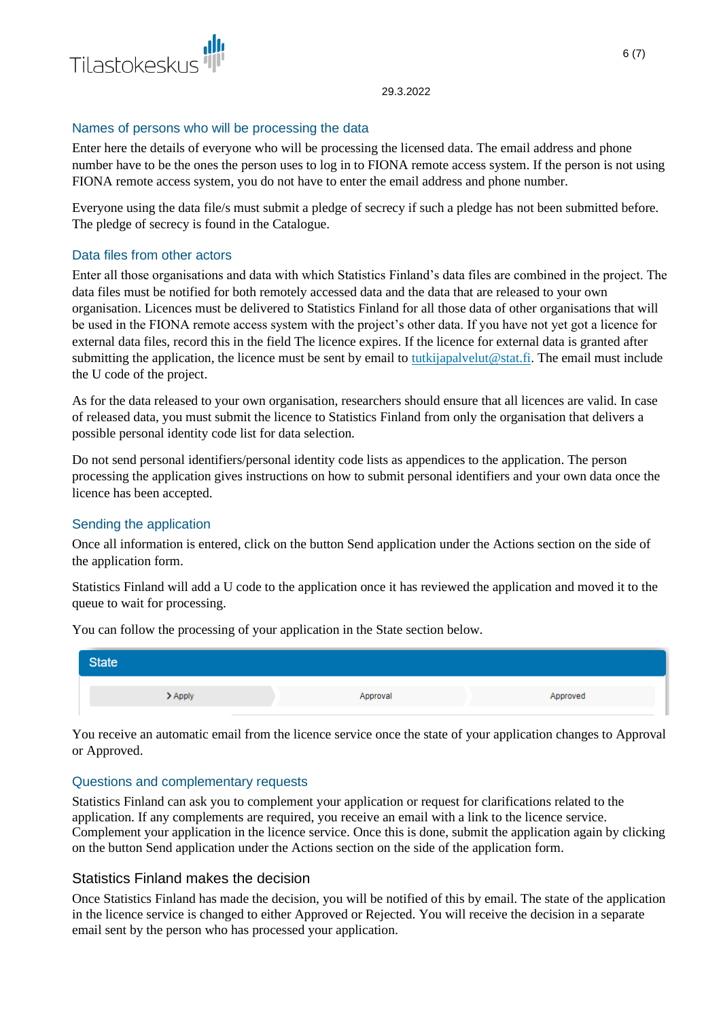

## Names of persons who will be processing the data

Enter here the details of everyone who will be processing the licensed data. The email address and phone number have to be the ones the person uses to log in to FIONA remote access system. If the person is not using FIONA remote access system, you do not have to enter the email address and phone number.

Everyone using the data file/s must submit a pledge of secrecy if such a pledge has not been submitted before. The pledge of secrecy is found in the Catalogue.

## Data files from other actors

Enter all those organisations and data with which Statistics Finland's data files are combined in the project. The data files must be notified for both remotely accessed data and the data that are released to your own organisation. Licences must be delivered to Statistics Finland for all those data of other organisations that will be used in the FIONA remote access system with the project's other data. If you have not yet got a licence for external data files, record this in the field The licence expires. If the licence for external data is granted after submitting the application, the licence must be sent by email to [tutkijapalvelut@stat.fi.](mailto:tutkijapalvelut@stat.fi) The email must include the U code of the project.

As for the data released to your own organisation, researchers should ensure that all licences are valid. In case of released data, you must submit the licence to Statistics Finland from only the organisation that delivers a possible personal identity code list for data selection.

Do not send personal identifiers/personal identity code lists as appendices to the application. The person processing the application gives instructions on how to submit personal identifiers and your own data once the licence has been accepted.

# Sending the application

Once all information is entered, click on the button Send application under the Actions section on the side of the application form.

Statistics Finland will add a U code to the application once it has reviewed the application and moved it to the queue to wait for processing.

**State**  $\blacktriangleright$  Apply Approval Approved

You can follow the processing of your application in the State section below.

You receive an automatic email from the licence service once the state of your application changes to Approval or Approved.

### Questions and complementary requests

Statistics Finland can ask you to complement your application or request for clarifications related to the application. If any complements are required, you receive an email with a link to the licence service. Complement your application in the licence service. Once this is done, submit the application again by clicking on the button Send application under the Actions section on the side of the application form.

# Statistics Finland makes the decision

Once Statistics Finland has made the decision, you will be notified of this by email. The state of the application in the licence service is changed to either Approved or Rejected. You will receive the decision in a separate email sent by the person who has processed your application.